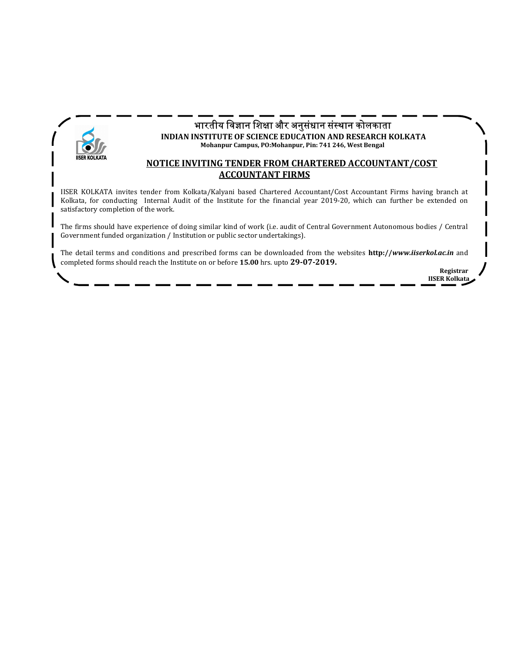

# भारतीय विज्ञान शिक्षा और अनुसंधान संस्थान कोलकाता

INDIAN INSTITUTE OF SCIENCE EDUCATION AND RESEARCH KOLKATA Mohanpur Campus, PO:Mohanpur, Pin: 741 246, West Bengal

#### NOTICE INVITING TENDER FROM CHARTERED ACCOUNTANT/COST ACCOUNTANT FIRMS

IISER KOLKATA invites tender from Kolkata/Kalyani based Chartered Accountant/Cost Accountant Firms having branch at Kolkata, for conducting Internal Audit of the Institute for the financial year 2019-20, which can further be extended on satisfactory completion of the work.

The firms should have experience of doing similar kind of work (i.e. audit of Central Government Autonomous bodies / Central Government funded organization / Institution or public sector undertakings).

The detail terms and conditions and prescribed forms can be downloaded from the websites http://www.iiserkol.ac.in and completed forms should reach the Institute on or before 15.00 hrs. upto 29-07-2019.

> Registrar IISER Kolkata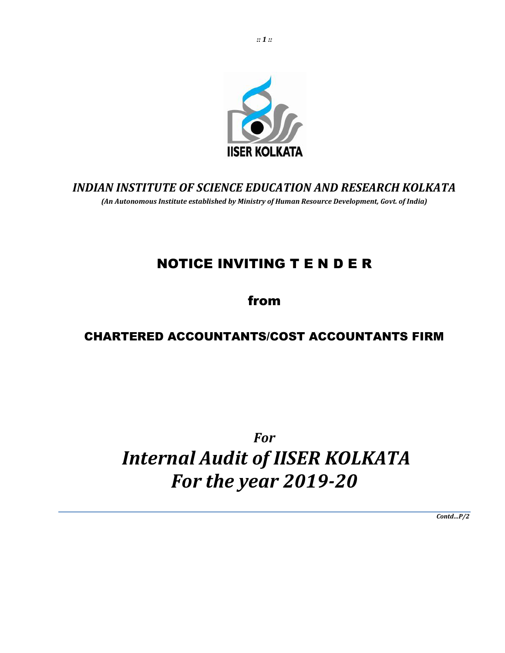

## INDIAN INSTITUTE OF SCIENCE EDUCATION AND RESEARCH KOLKATA (An Autonomous Institute established by Ministry of Human Resource Development, Govt. of India)

# NOTICE INVITING T E N D E R

from

# CHARTERED ACCOUNTANTS/COST ACCOUNTANTS FIRM

# For Internal Audit of IISER KOLKATA For the year 2019-20

Contd…P/2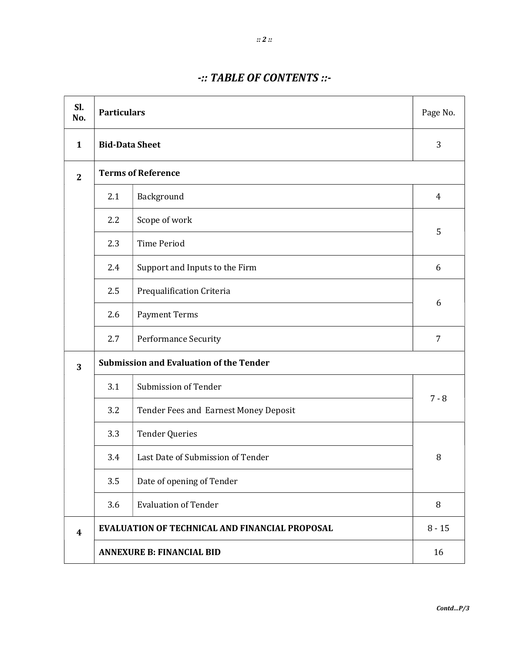### -:: TABLE OF CONTENTS ::-

| Sl.<br>No.     | <b>Particulars</b>                             |                                                       |          |  |
|----------------|------------------------------------------------|-------------------------------------------------------|----------|--|
| 1              |                                                | <b>Bid-Data Sheet</b>                                 |          |  |
| $\overline{2}$ |                                                | <b>Terms of Reference</b>                             |          |  |
|                | 2.1                                            | Background                                            | 4        |  |
|                | Scope of work<br>2.2                           |                                                       |          |  |
|                | 2.3                                            | <b>Time Period</b>                                    | 5        |  |
|                | 2.4                                            | Support and Inputs to the Firm                        | 6        |  |
|                | 2.5                                            | Prequalification Criteria                             |          |  |
|                | 2.6                                            | <b>Payment Terms</b>                                  | 6        |  |
|                | 2.7                                            | <b>Performance Security</b>                           | 7        |  |
| 3              | <b>Submission and Evaluation of the Tender</b> |                                                       |          |  |
|                | 3.1                                            | Submission of Tender                                  |          |  |
|                | 3.2                                            | Tender Fees and Earnest Money Deposit                 | $7 - 8$  |  |
|                | 3.3                                            | <b>Tender Queries</b>                                 |          |  |
|                | 3.4                                            | Last Date of Submission of Tender                     |          |  |
|                | 3.5                                            | Date of opening of Tender                             |          |  |
|                | 3.6                                            | <b>Evaluation of Tender</b>                           | 8        |  |
| 4              |                                                | <b>EVALUATION OF TECHNICAL AND FINANCIAL PROPOSAL</b> | $8 - 15$ |  |
|                | <b>ANNEXURE B: FINANCIAL BID</b>               |                                                       |          |  |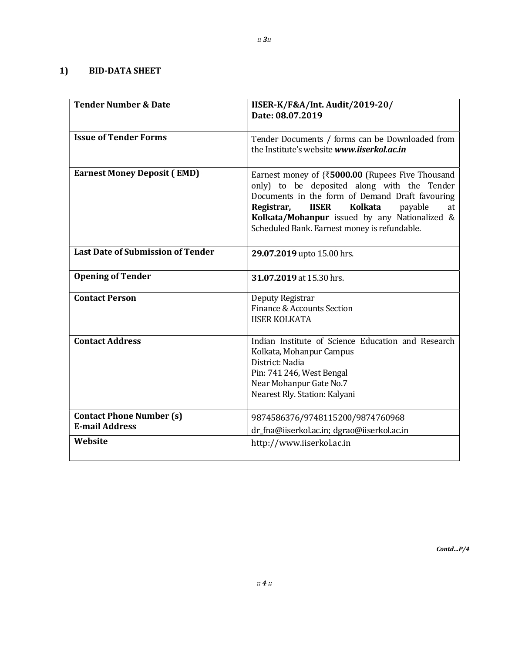| <b>Tender Number &amp; Date</b>                          | IISER-K/F&A/Int. Audit/2019-20/<br>Date: 08.07.2019                                                                                                                                                                                                                                                                      |
|----------------------------------------------------------|--------------------------------------------------------------------------------------------------------------------------------------------------------------------------------------------------------------------------------------------------------------------------------------------------------------------------|
| <b>Issue of Tender Forms</b>                             | Tender Documents / forms can be Downloaded from<br>the Institute's website www.iiserkol.ac.in                                                                                                                                                                                                                            |
| <b>Earnest Money Deposit (EMD)</b>                       | Earnest money of $\{5000.00\}$ (Rupees Five Thousand<br>only) to be deposited along with the Tender<br>Documents in the form of Demand Draft favouring<br><b>IISER</b><br><b>Kolkata</b><br>Registrar,<br>payable<br>at<br>Kolkata/Mohanpur issued by any Nationalized &<br>Scheduled Bank. Earnest money is refundable. |
| <b>Last Date of Submission of Tender</b>                 | 29.07.2019 upto 15.00 hrs.                                                                                                                                                                                                                                                                                               |
| <b>Opening of Tender</b>                                 | 31.07.2019 at 15.30 hrs.                                                                                                                                                                                                                                                                                                 |
| <b>Contact Person</b>                                    | Deputy Registrar<br>Finance & Accounts Section<br><b>IISER KOLKATA</b>                                                                                                                                                                                                                                                   |
| <b>Contact Address</b>                                   | Indian Institute of Science Education and Research<br>Kolkata, Mohanpur Campus<br>District: Nadia<br>Pin: 741 246, West Bengal<br>Near Mohanpur Gate No.7<br>Nearest Rly. Station: Kalyani                                                                                                                               |
| <b>Contact Phone Number (s)</b><br><b>E-mail Address</b> | 9874586376/9748115200/9874760968                                                                                                                                                                                                                                                                                         |
| Website                                                  | dr_fna@iiserkol.ac.in; dgrao@iiserkol.ac.in                                                                                                                                                                                                                                                                              |
|                                                          | http://www.iiserkol.ac.in                                                                                                                                                                                                                                                                                                |

 $\mathit{Contd...P/4}$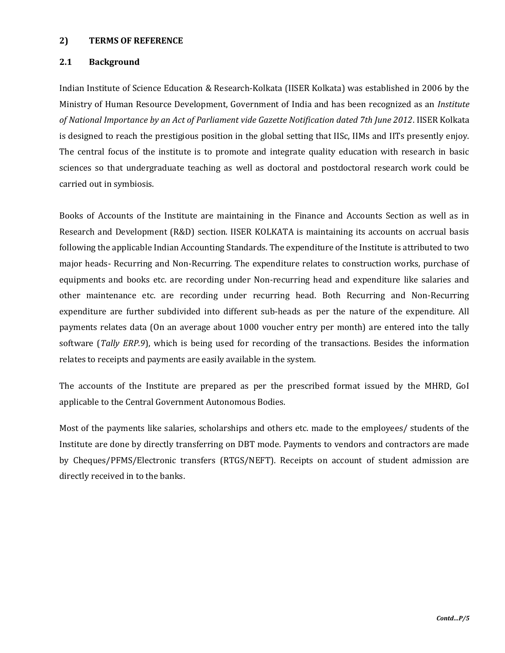#### 2) TERMS OF REFERENCE

#### 2.1 Background

Indian Institute of Science Education & Research-Kolkata (IISER Kolkata) was established in 2006 by the Ministry of Human Resource Development, Government of India and has been recognized as an Institute of National Importance by an Act of Parliament vide Gazette Notification dated 7th June 2012. IISER Kolkata is designed to reach the prestigious position in the global setting that IISc, IIMs and IITs presently enjoy. The central focus of the institute is to promote and integrate quality education with research in basic sciences so that undergraduate teaching as well as doctoral and postdoctoral research work could be carried out in symbiosis.

Books of Accounts of the Institute are maintaining in the Finance and Accounts Section as well as in Research and Development (R&D) section. IISER KOLKATA is maintaining its accounts on accrual basis following the applicable Indian Accounting Standards. The expenditure of the Institute is attributed to two major heads- Recurring and Non-Recurring. The expenditure relates to construction works, purchase of equipments and books etc. are recording under Non-recurring head and expenditure like salaries and other maintenance etc. are recording under recurring head. Both Recurring and Non-Recurring expenditure are further subdivided into different sub-heads as per the nature of the expenditure. All payments relates data (On an average about 1000 voucher entry per month) are entered into the tally software (Tally ERP.9), which is being used for recording of the transactions. Besides the information relates to receipts and payments are easily available in the system.

The accounts of the Institute are prepared as per the prescribed format issued by the MHRD, GoI applicable to the Central Government Autonomous Bodies.

Most of the payments like salaries, scholarships and others etc. made to the employees/ students of the Institute are done by directly transferring on DBT mode. Payments to vendors and contractors are made by Cheques/PFMS/Electronic transfers (RTGS/NEFT). Receipts on account of student admission are directly received in to the banks.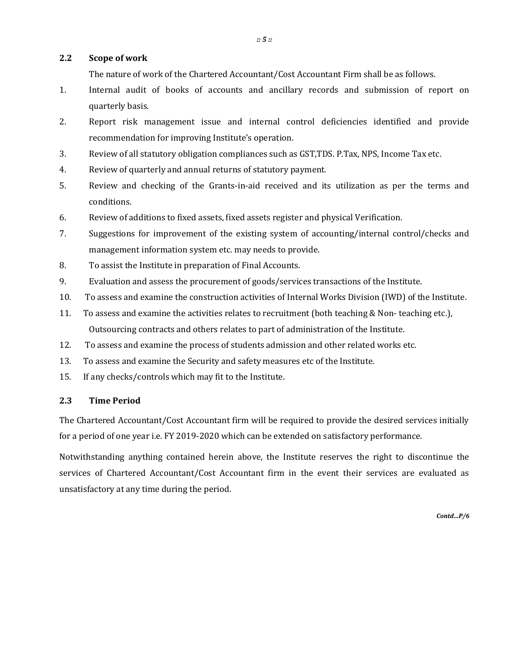#### 2.2 Scope of work

The nature of work of the Chartered Accountant/Cost Accountant Firm shall be as follows.

- 1. Internal audit of books of accounts and ancillary records and submission of report on quarterly basis.
- 2. Report risk management issue and internal control deficiencies identified and provide recommendation for improving Institute's operation.
- 3. Review of all statutory obligation compliances such as GST,TDS. P.Tax, NPS, Income Tax etc.
- 4. Review of quarterly and annual returns of statutory payment.
- 5. Review and checking of the Grants-in-aid received and its utilization as per the terms and conditions.
- 6. Review of additions to fixed assets, fixed assets register and physical Verification.
- 7. Suggestions for improvement of the existing system of accounting/internal control/checks and management information system etc. may needs to provide.
- 8. To assist the Institute in preparation of Final Accounts.
- 9. Evaluation and assess the procurement of goods/services transactions of the Institute.
- 10. To assess and examine the construction activities of Internal Works Division (IWD) of the Institute.
- 11. To assess and examine the activities relates to recruitment (both teaching & Non- teaching etc.), Outsourcing contracts and others relates to part of administration of the Institute.
- 12. To assess and examine the process of students admission and other related works etc.
- 13. To assess and examine the Security and safety measures etc of the Institute.
- 15. If any checks/controls which may fit to the Institute.

#### 2.3 Time Period

The Chartered Accountant/Cost Accountant firm will be required to provide the desired services initially for a period of one year i.e. FY 2019-2020 which can be extended on satisfactory performance.

Notwithstanding anything contained herein above, the Institute reserves the right to discontinue the services of Chartered Accountant/Cost Accountant firm in the event their services are evaluated as unsatisfactory at any time during the period.

Contd…P/6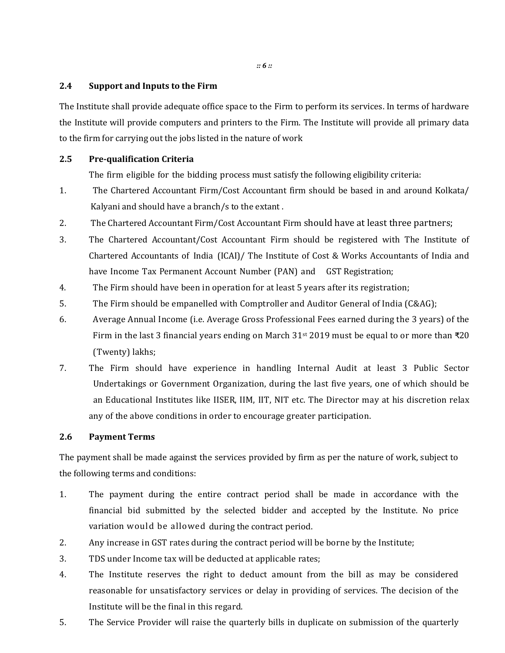:: 6 ::

#### 2.4 Support and Inputs to the Firm

The Institute shall provide adequate office space to the Firm to perform its services. In terms of hardware the Institute will provide computers and printers to the Firm. The Institute will provide all primary data to the firm for carrying out the jobs listed in the nature of work

#### 2.5 Pre-qualification Criteria

The firm eligible for the bidding process must satisfy the following eligibility criteria:

- 1. The Chartered Accountant Firm/Cost Accountant firm should be based in and around Kolkata/ Kalyani and should have a branch/s to the extant .
- 2. The Chartered Accountant Firm/Cost Accountant Firm should have at least three partners;
- 3. The Chartered Accountant/Cost Accountant Firm should be registered with The Institute of Chartered Accountants of India (ICAI)/ The Institute of Cost & Works Accountants of India and have Income Tax Permanent Account Number (PAN) and GST Registration;
- 4. The Firm should have been in operation for at least 5 years after its registration;
- 5. The Firm should be empanelled with Comptroller and Auditor General of India (C&AG);
- 6. Average Annual Income (i.e. Average Gross Professional Fees earned during the 3 years) of the Firm in the last 3 financial years ending on March 31st 2019 must be equal to or more than ₹20 (Twenty) lakhs;
- 7. The Firm should have experience in handling Internal Audit at least 3 Public Sector Undertakings or Government Organization, during the last five years, one of which should be an Educational Institutes like IISER, IIM, IIT, NIT etc. The Director may at his discretion relax any of the above conditions in order to encourage greater participation.

#### 2.6 Payment Terms

The payment shall be made against the services provided by firm as per the nature of work, subject to the following terms and conditions:

- 1. The payment during the entire contract period shall be made in accordance with the financial bid submitted by the selected bidder and accepted by the Institute. No price variation would be allowed during the contract period.
- 2. Any increase in GST rates during the contract period will be borne by the Institute;
- 3. TDS under Income tax will be deducted at applicable rates;
- 4. The Institute reserves the right to deduct amount from the bill as may be considered reasonable for unsatisfactory services or delay in providing of services. The decision of the Institute will be the final in this regard.
- 5. The Service Provider will raise the quarterly bills in duplicate on submission of the quarterly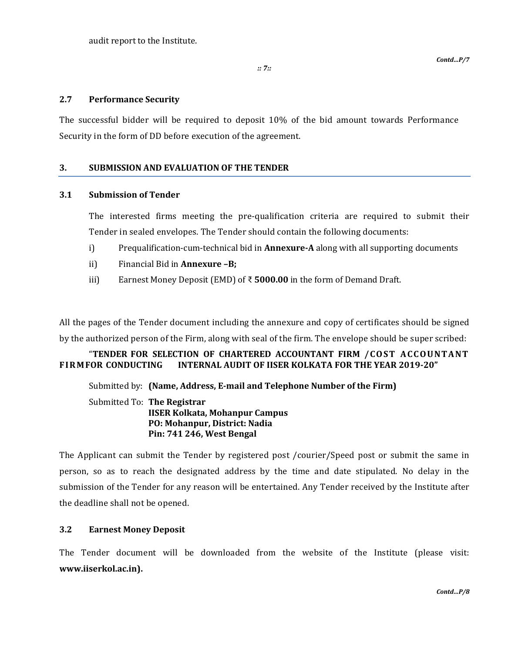audit report to the Institute.

:: 7::

#### 2.7 Performance Security

The successful bidder will be required to deposit 10% of the bid amount towards Performance Security in the form of DD before execution of the agreement.

#### 3. SUBMISSION AND EVALUATION OF THE TENDER

#### 3.1 Submission of Tender

 The interested firms meeting the pre-qualification criteria are required to submit their Tender in sealed envelopes. The Tender should contain the following documents:

- i) Prequalification-cum-technical bid in **Annexure-A** along with all supporting documents
- ii) Financial Bid in Annexure –B;
- iii) Earnest Money Deposit (EMD) of  $\bar{\tau}$  5000.00 in the form of Demand Draft.

All the pages of the Tender document including the annexure and copy of certificates should be signed by the authorized person of the Firm, along with seal of the firm. The envelope should be super scribed:

#### "TENDER FOR SELECTION OF CHARTERED ACCOUNTANT FIRM / COST ACCOUNTANT FI RM FOR CONDUCTING INTERNAL AUDIT OF IISER KOLKATA FOR THE YEAR 2019-20"

Submitted by: (Name, Address, E-mail and Telephone Number of the Firm)

 Submitted To: The Registrar IISER Kolkata, Mohanpur Campus PO: Mohanpur, District: Nadia Pin: 741 246, West Bengal

The Applicant can submit the Tender by registered post /courier/Speed post or submit the same in person, so as to reach the designated address by the time and date stipulated. No delay in the submission of the Tender for any reason will be entertained. Any Tender received by the Institute after the deadline shall not be opened.

#### 3.2 Earnest Money Deposit

The Tender document will be downloaded from the website of the Institute (please visit: www.iiserkol.ac.in).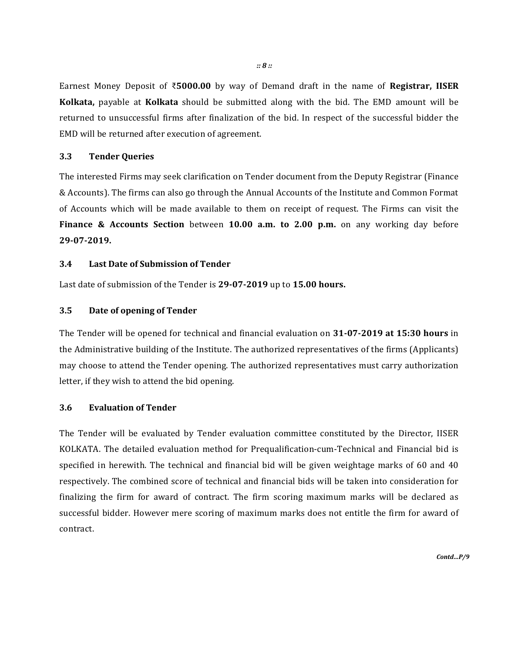Earnest Money Deposit of ₹5000.00 by way of Demand draft in the name of Registrar, IISER Kolkata, payable at Kolkata should be submitted along with the bid. The EMD amount will be returned to unsuccessful firms after finalization of the bid. In respect of the successful bidder the EMD will be returned after execution of agreement.

#### 3.3 Tender Queries

The interested Firms may seek clarification on Tender document from the Deputy Registrar (Finance & Accounts). The firms can also go through the Annual Accounts of the Institute and Common Format of Accounts which will be made available to them on receipt of request. The Firms can visit the Finance & Accounts Section between 10.00 a.m. to 2.00 p.m. on any working day before 29-07-2019.

#### 3.4 Last Date of Submission of Tender

Last date of submission of the Tender is 29-07-2019 up to 15.00 hours.

#### 3.5 Date of opening of Tender

The Tender will be opened for technical and financial evaluation on 31-07-2019 at 15:30 hours in the Administrative building of the Institute. The authorized representatives of the firms (Applicants) may choose to attend the Tender opening. The authorized representatives must carry authorization letter, if they wish to attend the bid opening.

#### 3.6 Evaluation of Tender

The Tender will be evaluated by Tender evaluation committee constituted by the Director, IISER KOLKATA. The detailed evaluation method for Prequalification-cum-Technical and Financial bid is specified in herewith. The technical and financial bid will be given weightage marks of 60 and 40 respectively. The combined score of technical and financial bids will be taken into consideration for finalizing the firm for award of contract. The firm scoring maximum marks will be declared as successful bidder. However mere scoring of maximum marks does not entitle the firm for award of contract.

Contd…P/9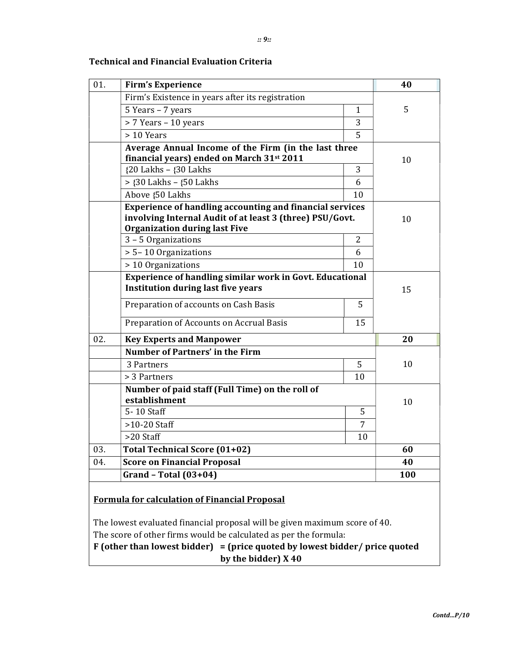| 01. | <b>Firm's Experience</b>                                                                                                                                            |                | 40 |
|-----|---------------------------------------------------------------------------------------------------------------------------------------------------------------------|----------------|----|
|     | Firm's Existence in years after its registration                                                                                                                    |                |    |
|     | 5 Years - 7 years                                                                                                                                                   | $\mathbf{1}$   | 5  |
|     | > 7 Years - 10 years                                                                                                                                                | 3              |    |
|     | > 10 Years                                                                                                                                                          | 5              |    |
|     | Average Annual Income of the Firm (in the last three<br>financial years) ended on March 31st 2011                                                                   |                | 10 |
|     | ${20$ Lakhs - ${30}$ Lakhs                                                                                                                                          | 3              |    |
|     | $>$ {30 Lakhs - {50 Lakhs                                                                                                                                           | 6              |    |
|     | Above {50 Lakhs                                                                                                                                                     | 10             |    |
|     | <b>Experience of handling accounting and financial services</b><br>involving Internal Audit of at least 3 (three) PSU/Govt.<br><b>Organization during last Five</b> |                | 10 |
|     | 3 - 5 Organizations                                                                                                                                                 | $\overline{2}$ |    |
|     | > 5-10 Organizations                                                                                                                                                | 6              |    |
|     | > 10 Organizations                                                                                                                                                  | 10             |    |
|     | <b>Experience of handling similar work in Govt. Educational</b><br><b>Institution during last five years</b><br>Preparation of accounts on Cash Basis               | 5              | 15 |
|     | Preparation of Accounts on Accrual Basis                                                                                                                            | 15             |    |
| 02. | <b>Key Experts and Manpower</b>                                                                                                                                     |                | 20 |
|     | <b>Number of Partners' in the Firm</b>                                                                                                                              |                |    |
|     | 3 Partners                                                                                                                                                          | 5              | 10 |
|     | > 3 Partners                                                                                                                                                        | 10             |    |
|     | Number of paid staff (Full Time) on the roll of<br>establishment                                                                                                    |                | 10 |
|     | 5-10 Staff                                                                                                                                                          | 5              |    |
|     | $>10-20$ Staff                                                                                                                                                      | 7              |    |
|     | >20 Staff                                                                                                                                                           | 10             |    |
|     | Total Technical Score (01+02)                                                                                                                                       |                | 60 |
| 03. | <b>Score on Financial Proposal</b>                                                                                                                                  |                | 40 |
| 04. |                                                                                                                                                                     |                |    |

### Technical and Financial Evaluation Criteria

F (other than lowest bidder) = (price quoted by lowest bidder/ price quoted by the bidder) X 40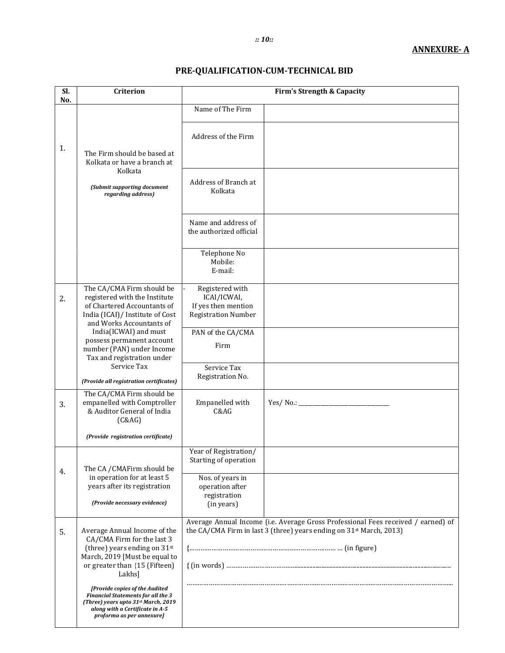#### :: 10::

## PRE-QUALIFICATION-CUM-TECHNICAL BID

| Sl.<br>No. | <b>Criterion</b>                                                                                                                                                                                         |                                                                                                                                                                      | <b>Firm's Strength &amp; Capacity</b> |  |
|------------|----------------------------------------------------------------------------------------------------------------------------------------------------------------------------------------------------------|----------------------------------------------------------------------------------------------------------------------------------------------------------------------|---------------------------------------|--|
|            |                                                                                                                                                                                                          | Name of The Firm                                                                                                                                                     |                                       |  |
| 1.         | The Firm should be based at<br>Kolkata or have a branch at                                                                                                                                               | Address of the Firm                                                                                                                                                  |                                       |  |
|            | Kolkata<br>(Submit supporting document<br>regarding address)                                                                                                                                             | Address of Branch at<br>Kolkata                                                                                                                                      |                                       |  |
|            |                                                                                                                                                                                                          | Name and address of<br>the authorized official                                                                                                                       |                                       |  |
|            |                                                                                                                                                                                                          | Telephone No<br>Mobile:<br>E-mail:                                                                                                                                   |                                       |  |
| 2.         | The CA/CMA Firm should be<br>registered with the Institute<br>of Chartered Accountants of<br>India (ICAI)/ Institute of Cost<br>and Works Accountants of                                                 | Registered with<br>ICAI/ICWAI,<br>If yes then mention<br><b>Registration Number</b>                                                                                  |                                       |  |
|            | India(ICWAI) and must<br>possess permanent account<br>number (PAN) under Income<br>Tax and registration under<br>Service Tax                                                                             | PAN of the CA/CMA<br>Firm<br>Service Tax                                                                                                                             |                                       |  |
|            | (Provide all registration certificates)                                                                                                                                                                  | Registration No.                                                                                                                                                     |                                       |  |
| 3.         | The CA/CMA Firm should be<br>empanelled with Comptroller<br>& Auditor General of India<br>(C&AG)                                                                                                         | Empanelled with<br>C&AG                                                                                                                                              | Yes/ No.:                             |  |
|            | (Provide registration certificate)                                                                                                                                                                       |                                                                                                                                                                      |                                       |  |
| 4.         | The CA / CMAFirm should be<br>in operation for at least 5                                                                                                                                                | Year of Registration/<br>Starting of operation<br>Nos. of years in                                                                                                   |                                       |  |
|            | years after its registration<br>(Provide necessary evidence)                                                                                                                                             | operation after<br>registration<br>(in years)                                                                                                                        |                                       |  |
| 5.         | Average Annual Income of the<br>CA/CMA Firm for the last 3<br>(three) years ending on 31st<br>March, 2019 [Must be equal to<br>or greater than {15 (Fifteen)<br>Lakhs]<br>[Provide copies of the Audited | Average Annual Income (i.e. Average Gross Professional Fees received / earned) of<br>the CA/CMA Firm in last 3 (three) years ending on 31 <sup>st</sup> March, 2013) |                                       |  |
|            | <b>Financial Statements for all the 3</b><br>(Three) years upto 31st March, 2019<br>along with a Certificate in A-5<br>proforma as per annexure]                                                         |                                                                                                                                                                      |                                       |  |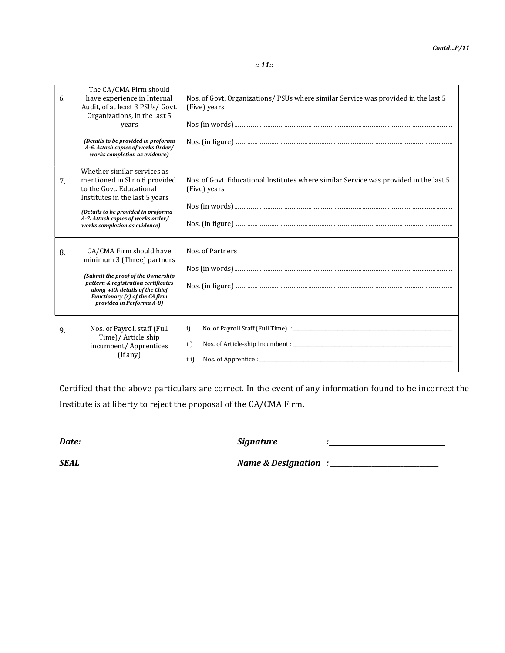:: 11::

| 6. | The CA/CMA Firm should<br>have experience in Internal<br>Audit, of at least 3 PSUs/ Govt.<br>Organizations, in the last 5<br>years<br>(Details to be provided in proforma<br>A-6. Attach copies of works Order/<br>works completion as evidence) | Nos. of Govt. Organizations/PSUs where similar Service was provided in the last 5<br>(Five) years     |
|----|--------------------------------------------------------------------------------------------------------------------------------------------------------------------------------------------------------------------------------------------------|-------------------------------------------------------------------------------------------------------|
| 7. | Whether similar services as<br>mentioned in Sl.no.6 provided<br>to the Govt. Educational<br>Institutes in the last 5 years<br>(Details to be provided in proforma<br>A-7. Attach copies of works order/<br>works completion as evidence)         | Nos. of Govt. Educational Institutes where similar Service was provided in the last 5<br>(Five) years |
| 8. | CA/CMA Firm should have<br>minimum 3 (Three) partners<br>(Submit the proof of the Ownership<br>pattern & registration certificates<br>along with details of the Chief<br>Functionary (s) of the CA firm<br>provided in Performa A-8)             | Nos. of Partners                                                                                      |
| 9. | Nos. of Payroll staff (Full<br>Time)/ Article ship<br>incumbent/ Apprentices<br>(if any)                                                                                                                                                         | i)<br>ii)<br>$N$ os. of Apprentice : $\blacksquare$<br>iii)                                           |

Certified that the above particulars are correct. In the event of any information found to be incorrect the Institute is at liberty to reject the proposal of the CA/CMA Firm.

Date: Signature :

SEAL Name & Designation : \_\_\_\_\_\_\_\_\_\_\_\_\_\_\_\_\_\_\_\_\_\_\_\_\_\_\_\_\_\_\_\_\_\_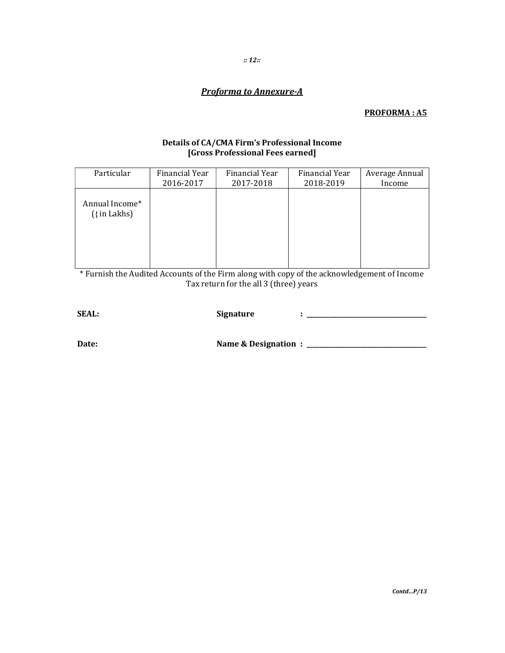### **Proforma to Annexure-A**

#### **PROFORMA: A5**

# Details of CA/CMA Firm's Professional Income<br>[Gross Professional Fees earned]

| Particular                           | Financial Year | Financial Year | Financial Year | Average Annual |
|--------------------------------------|----------------|----------------|----------------|----------------|
|                                      | 2016-2017      | 2017-2018      | 2018-2019      | Income         |
| Annual Income*<br>$({\{ \infty \}})$ |                |                |                |                |

Furnish the Audited Accounts of the Firm along with copy of the acknowledgement of Income Tax return for the all 3 (three) years

| <b>SEAL:</b> | <b>Signature</b>     |  |
|--------------|----------------------|--|
|              |                      |  |
| Date:        | Name & Designation : |  |
|              |                      |  |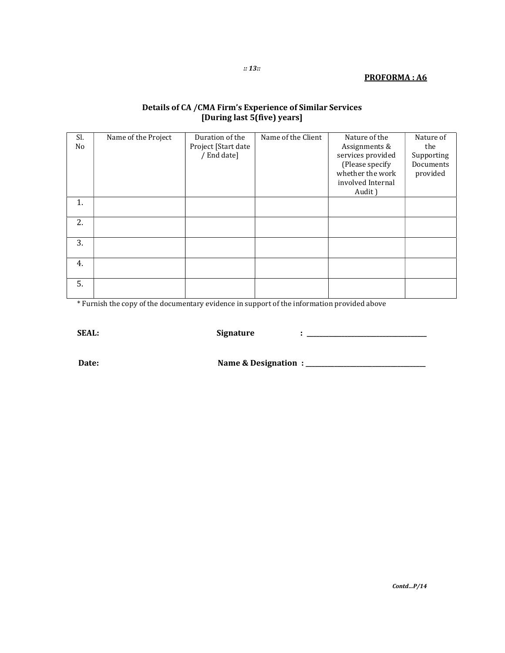#### PROFORMA : A6

#### Details of CA /CMA Firm's Experience of Similar Services [During last 5(five) years]

| Sl. | Name of the Project | Duration of the     | Name of the Client | Nature of the     | Nature of  |
|-----|---------------------|---------------------|--------------------|-------------------|------------|
| No  |                     | Project [Start date |                    | Assignments &     | the        |
|     |                     | / End date]         |                    | services provided | Supporting |
|     |                     |                     |                    | (Please specify   | Documents  |
|     |                     |                     |                    | whether the work  | provided   |
|     |                     |                     |                    | involved Internal |            |
|     |                     |                     |                    | Audit)            |            |
| 1.  |                     |                     |                    |                   |            |
|     |                     |                     |                    |                   |            |
| 2.  |                     |                     |                    |                   |            |
|     |                     |                     |                    |                   |            |
| 3.  |                     |                     |                    |                   |            |
|     |                     |                     |                    |                   |            |
| 4.  |                     |                     |                    |                   |            |
|     |                     |                     |                    |                   |            |
| 5.  |                     |                     |                    |                   |            |
|     |                     |                     |                    |                   |            |

\* Furnish the copy of the documentary evidence in support of the information provided above

SEAL: Signature : \_\_\_\_\_\_\_\_\_\_\_\_\_\_\_\_\_\_\_\_\_\_\_\_\_\_\_\_\_\_\_\_\_\_\_\_\_\_

Date: Name & Designation : \_\_\_\_\_\_\_\_\_\_\_\_\_\_\_\_\_\_\_\_\_\_\_\_\_\_\_\_\_\_\_\_\_\_\_\_\_\_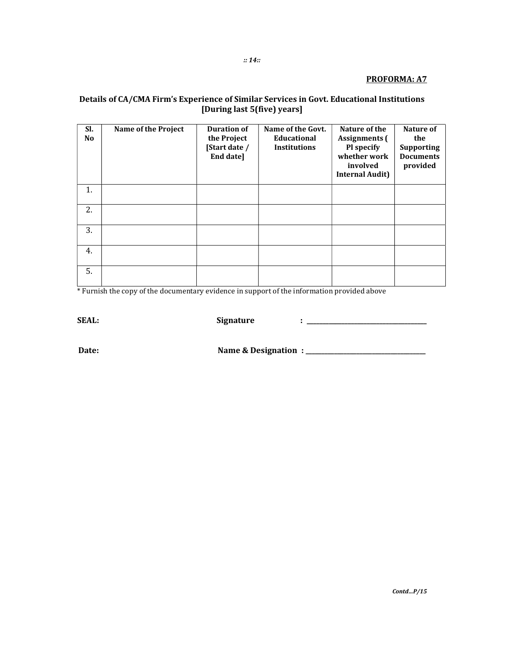#### PROFORMA: A7

# Details of CA/CMA Firm's Experience of Similar Services in Govt. Educational Institutions<br>[During last 5(five) years]

| SI.<br>No | Name of the Project | <b>Duration of</b><br>the Project<br>[Start date /<br>End date] | Name of the Govt.<br><b>Educational</b><br><b>Institutions</b> | Nature of the<br><b>Assignments</b> (<br>Pl specify<br>whether work<br>involved<br><b>Internal Audit)</b> | Nature of<br>the<br><b>Supporting</b><br><b>Documents</b><br>provided |
|-----------|---------------------|-----------------------------------------------------------------|----------------------------------------------------------------|-----------------------------------------------------------------------------------------------------------|-----------------------------------------------------------------------|
| 1.        |                     |                                                                 |                                                                |                                                                                                           |                                                                       |
| 2.        |                     |                                                                 |                                                                |                                                                                                           |                                                                       |
| 3.        |                     |                                                                 |                                                                |                                                                                                           |                                                                       |
| 4.        |                     |                                                                 |                                                                |                                                                                                           |                                                                       |
| 5.        |                     |                                                                 |                                                                |                                                                                                           |                                                                       |

\* Furnish the copy of the documentary evidence in support of the information provided above

**SEAL:** 

Signature

Date: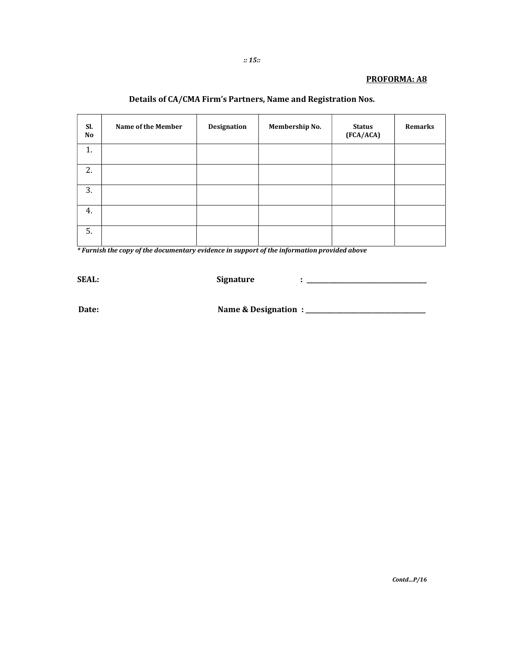#### PROFORMA: A8

#### Details of CA/CMA Firm's Partners, Name and Registration Nos.

| Sl.<br>No | Name of the Member | Designation | Membership No. | <b>Status</b><br>(FCA/ACA) | Remarks |
|-----------|--------------------|-------------|----------------|----------------------------|---------|
| 1.        |                    |             |                |                            |         |
| 2.        |                    |             |                |                            |         |
| 3.        |                    |             |                |                            |         |
| 4.        |                    |             |                |                            |         |
| 5.        |                    |             |                |                            |         |

\* Furnish the copy of the documentary evidence in support of the information provided above

**SEAL:** 

**Signature** 

Date: